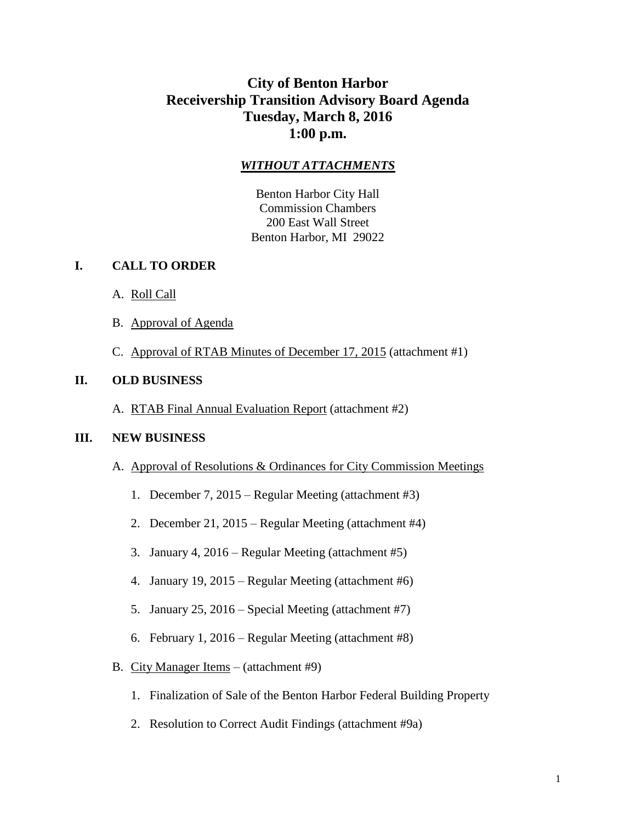# **City of Benton Harbor Receivership Transition Advisory Board Agenda Tuesday, March 8, 2016 1:00 p.m.**

## *WITHOUT ATTACHMENTS*

Benton Harbor City Hall Commission Chambers 200 East Wall Street Benton Harbor, MI 29022

### **I. CALL TO ORDER**

- A. Roll Call
- B. Approval of Agenda
- C. Approval of RTAB Minutes of December 17, 2015 (attachment #1)

#### **II. OLD BUSINESS**

A. RTAB Final Annual Evaluation Report (attachment #2)

#### **III. NEW BUSINESS**

- A. Approval of Resolutions & Ordinances for City Commission Meetings
	- 1. December 7, 2015 Regular Meeting (attachment #3)
	- 2. December 21, 2015 Regular Meeting (attachment #4)
	- 3. January 4, 2016 Regular Meeting (attachment #5)
	- 4. January 19, 2015 Regular Meeting (attachment #6)
	- 5. January 25, 2016 Special Meeting (attachment #7)
	- 6. February 1, 2016 Regular Meeting (attachment #8)
- B. City Manager Items (attachment #9)
	- 1. Finalization of Sale of the Benton Harbor Federal Building Property
	- 2. Resolution to Correct Audit Findings (attachment #9a)